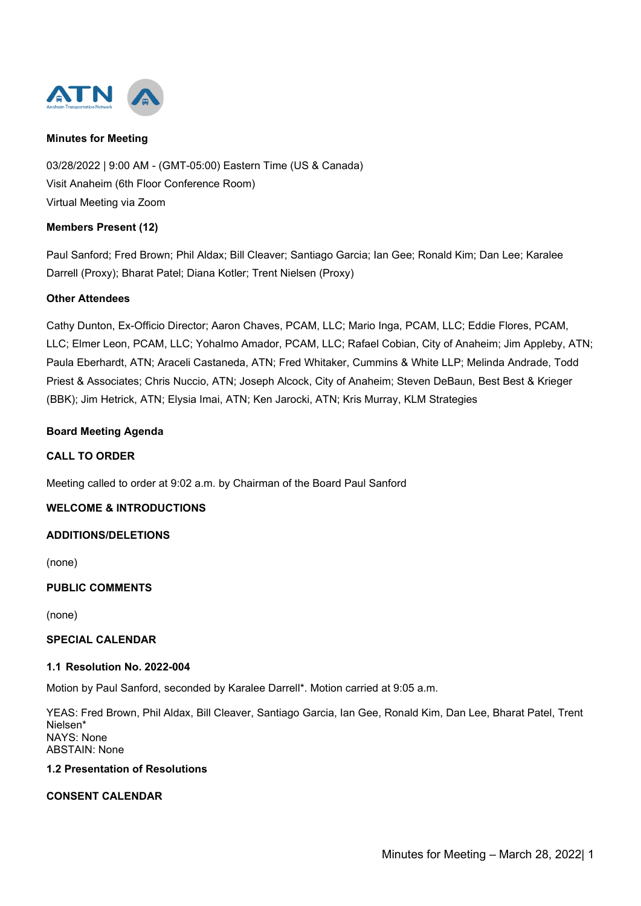



03/28/2022 | 9:00 AM - (GMT-05:00) Eastern Time (US & Canada) Visit Anaheim (6th Floor Conference Room) Virtual Meeting via Zoom

### **Members Present (12)**

Paul Sanford; Fred Brown; Phil Aldax; Bill Cleaver; Santiago Garcia; Ian Gee; Ronald Kim; Dan Lee; Karalee Darrell (Proxy); Bharat Patel; Diana Kotler; Trent Nielsen (Proxy)

# **Other Attendees**

Cathy Dunton, Ex-Officio Director; Aaron Chaves, PCAM, LLC; Mario Inga, PCAM, LLC; Eddie Flores, PCAM, LLC; Elmer Leon, PCAM, LLC; Yohalmo Amador, PCAM, LLC; Rafael Cobian, City of Anaheim; Jim Appleby, ATN; Paula Eberhardt, ATN; Araceli Castaneda, ATN; Fred Whitaker, Cummins & White LLP; Melinda Andrade, Todd Priest & Associates; Chris Nuccio, ATN; Joseph Alcock, City of Anaheim; Steven DeBaun, Best Best & Krieger (BBK); Jim Hetrick, ATN; Elysia Imai, ATN; Ken Jarocki, ATN; Kris Murray, KLM Strategies

### **Board Meeting Agenda**

### **CALL TO ORDER**

Meeting called to order at 9:02 a.m. by Chairman of the Board Paul Sanford

### **WELCOME & INTRODUCTIONS**

### **ADDITIONS/DELETIONS**

(none)

# **PUBLIC COMMENTS**

(none)

### **SPECIAL CALENDAR**

#### **1.1 Resolution No. 2022-004**

Motion by Paul Sanford, seconded by Karalee Darrell\*. Motion carried at 9:05 a.m.

YEAS: Fred Brown, Phil Aldax, Bill Cleaver, Santiago Garcia, Ian Gee, Ronald Kim, Dan Lee, Bharat Patel, Trent Nielsen\* NAYS: None ABSTAIN: None

# **1.2 Presentation of Resolutions**

# **CONSENT CALENDAR**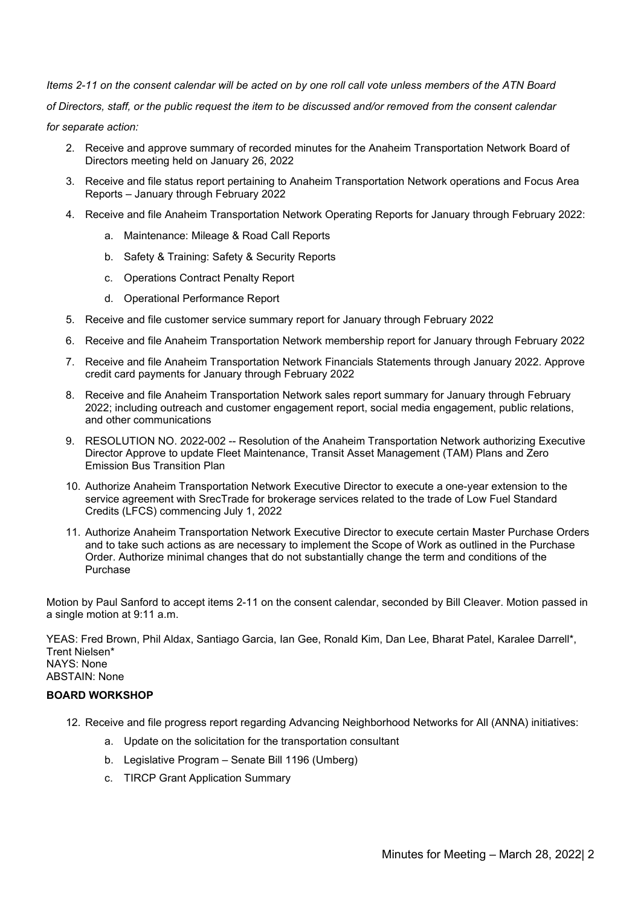*Items 2-11 on the consent calendar will be acted on by one roll call vote unless members of the ATN Board of Directors, staff, or the public request the item to be discussed and/or removed from the consent calendar for separate action:*

- 2. Receive and approve summary of recorded minutes for the Anaheim Transportation Network Board of Directors meeting held on January 26, 2022
- 3. Receive and file status report pertaining to Anaheim Transportation Network operations and Focus Area Reports – January through February 2022
- 4. Receive and file Anaheim Transportation Network Operating Reports for January through February 2022:
	- a. Maintenance: Mileage & Road Call Reports
	- b. Safety & Training: Safety & Security Reports
	- c. Operations Contract Penalty Report
	- d. Operational Performance Report
- 5. Receive and file customer service summary report for January through February 2022
- 6. Receive and file Anaheim Transportation Network membership report for January through February 2022
- 7. Receive and file Anaheim Transportation Network Financials Statements through January 2022. Approve credit card payments for January through February 2022
- 8. Receive and file Anaheim Transportation Network sales report summary for January through February 2022; including outreach and customer engagement report, social media engagement, public relations, and other communications
- 9. RESOLUTION NO. 2022-002 -- Resolution of the Anaheim Transportation Network authorizing Executive Director Approve to update Fleet Maintenance, Transit Asset Management (TAM) Plans and Zero Emission Bus Transition Plan
- 10. Authorize Anaheim Transportation Network Executive Director to execute a one-year extension to the service agreement with SrecTrade for brokerage services related to the trade of Low Fuel Standard Credits (LFCS) commencing July 1, 2022
- 11. Authorize Anaheim Transportation Network Executive Director to execute certain Master Purchase Orders and to take such actions as are necessary to implement the Scope of Work as outlined in the Purchase Order. Authorize minimal changes that do not substantially change the term and conditions of the Purchase

Motion by Paul Sanford to accept items 2-11 on the consent calendar, seconded by Bill Cleaver. Motion passed in a single motion at 9:11 a.m.

YEAS: Fred Brown, Phil Aldax, Santiago Garcia, Ian Gee, Ronald Kim, Dan Lee, Bharat Patel, Karalee Darrell\*, Trent Nielsen\* NAYS: None ABSTAIN: None

# **BOARD WORKSHOP**

- 12. Receive and file progress report regarding Advancing Neighborhood Networks for All (ANNA) initiatives:
	- a. Update on the solicitation for the transportation consultant
	- b. Legislative Program Senate Bill 1196 (Umberg)
	- c. TIRCP Grant Application Summary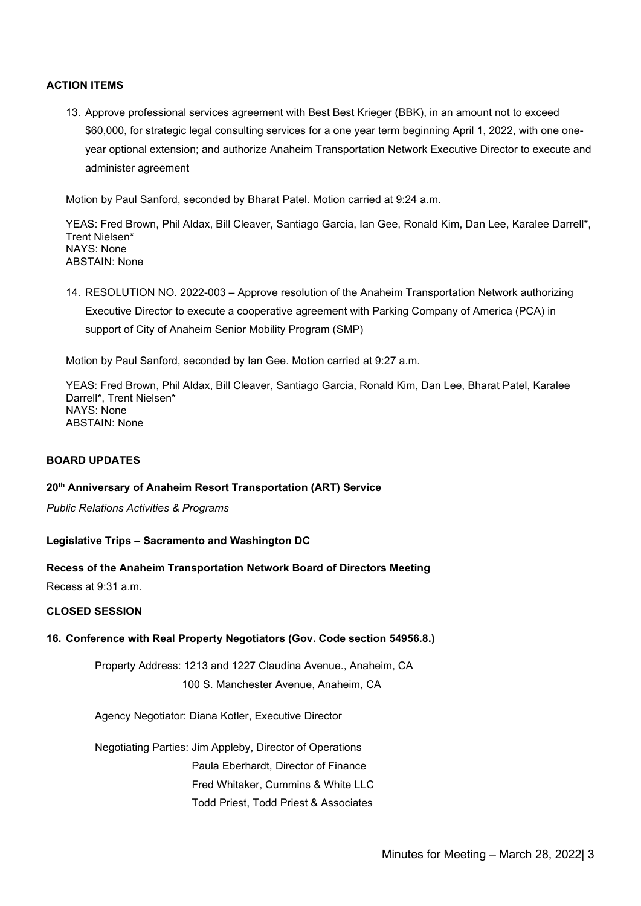### **ACTION ITEMS**

13. Approve professional services agreement with Best Best Krieger (BBK), in an amount not to exceed \$60,000, for strategic legal consulting services for a one year term beginning April 1, 2022, with one oneyear optional extension; and authorize Anaheim Transportation Network Executive Director to execute and administer agreement

Motion by Paul Sanford, seconded by Bharat Patel. Motion carried at 9:24 a.m.

YEAS: Fred Brown, Phil Aldax, Bill Cleaver, Santiago Garcia, Ian Gee, Ronald Kim, Dan Lee, Karalee Darrell\*, Trent Nielsen\* NAYS: None ABSTAIN: None

14. RESOLUTION NO. 2022-003 – Approve resolution of the Anaheim Transportation Network authorizing Executive Director to execute a cooperative agreement with Parking Company of America (PCA) in support of City of Anaheim Senior Mobility Program (SMP)

Motion by Paul Sanford, seconded by Ian Gee. Motion carried at 9:27 a.m.

YEAS: Fred Brown, Phil Aldax, Bill Cleaver, Santiago Garcia, Ronald Kim, Dan Lee, Bharat Patel, Karalee Darrell\*, Trent Nielsen\* NAYS: None ABSTAIN: None

### **BOARD UPDATES**

### **20th Anniversary of Anaheim Resort Transportation (ART) Service**

*Public Relations Activities & Programs*

#### **Legislative Trips – Sacramento and Washington DC**

#### **Recess of the Anaheim Transportation Network Board of Directors Meeting**

Recess at 9:31 a.m.

### **CLOSED SESSION**

### **16. Conference with Real Property Negotiators (Gov. Code section 54956.8.)**

Property Address: 1213 and 1227 Claudina Avenue., Anaheim, CA 100 S. Manchester Avenue, Anaheim, CA

Agency Negotiator: Diana Kotler, Executive Director

Negotiating Parties: Jim Appleby, Director of Operations Paula Eberhardt, Director of Finance Fred Whitaker, Cummins & White LLC Todd Priest, Todd Priest & Associates